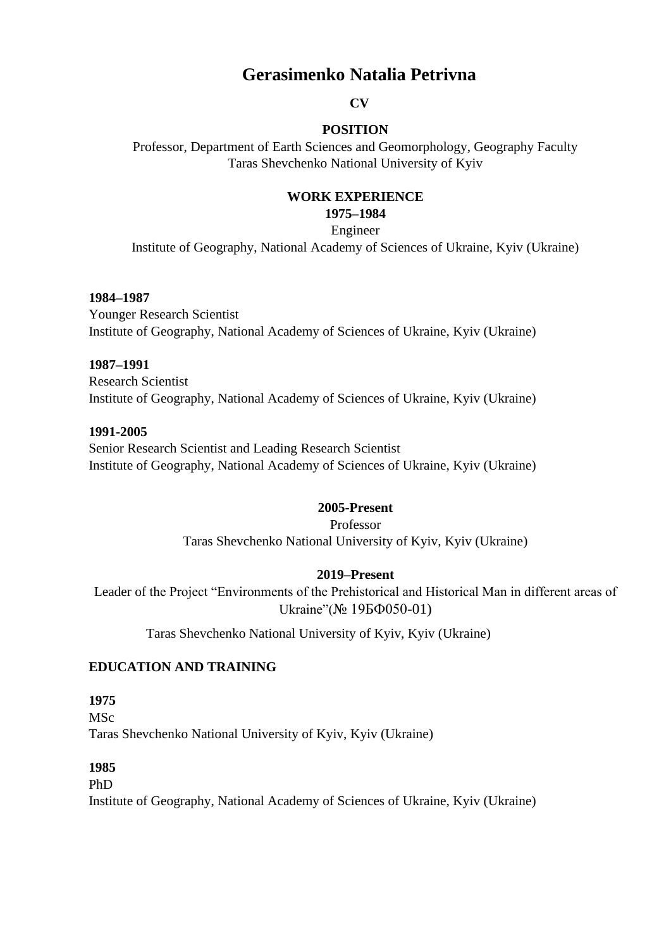# **Gerasimenko Natalia Petrivna**

#### **CV**

## **POSITION**

Professor, Department of Earth Sciences and Geomorphology, Geography Faculty Taras Shevchenko National University of Kyiv

## **WORK EXPERIENCE**

**1975–1984** 

Engineer

Institute of Geography, National Academy of Sciences of Ukraine, Kyiv (Ukraine)

#### **1984–1987**

Younger Research Scientist Institute of Geography, National Academy of Sciences of Ukraine, Kyiv (Ukraine)

#### **1987–1991**

Research Scientist Institute of Geography, National Academy of Sciences of Ukraine, Kyiv (Ukraine)

#### **1991-2005**

Senior Research Scientist and Leading Research Scientist Institute of Geography, National Academy of Sciences of Ukraine, Kyiv (Ukraine)

#### **2005-Present**

Professor Taras Shevchenko National University of Kyiv, Kyiv (Ukraine)

## **2019–Present**

Leader of the Project "Environments of the Prehistorical and Historical Man in different areas of Ukraine"(№ 19БФ050-01)

Taras Shevchenko National University of Kyiv, Kyiv (Ukraine)

## **EDUCATION AND TRAINING**

## **1975**

MSc Taras Shevchenko National University of Kyiv, Kyiv (Ukraine)

#### **1985**

PhD

Institute of Geography, National Academy of Sciences of Ukraine, Kyiv (Ukraine)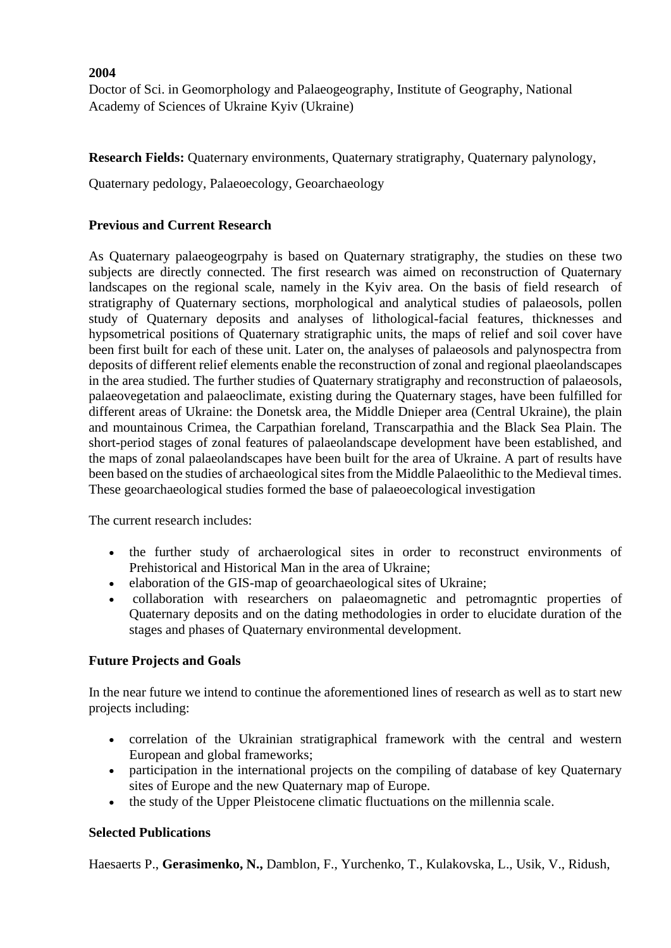#### **2004**

Doctor of Sci. in Geomorphology and Palaeogeography, Institute of Geography, National Academy of Sciences of Ukraine Kyiv (Ukraine)

**Research Fields:** Quaternary environments, Quaternary stratigraphy, Quaternary palynology,

Quaternary pedology, Palaeoecology, Geoarchaeology

## **Previous and Current Research**

As Quaternary palaeogeogrpahy is based on Quaternary stratigraphy, the studies on these two subjects are directly connected. The first research was aimed on reconstruction of Quaternary landscapes on the regional scale, namely in the Kyiv area. On the basis of field research of stratigraphy of Quaternary sections, morphological and analytical studies of palaeosols, pollen study of Quaternary deposits and analyses of lithological-facial features, thicknesses and hypsometrical positions of Quaternary stratigraphic units, the maps of relief and soil cover have been first built for each of these unit. Later on, the analyses of palaeosols and palynospectra from deposits of different relief elements enable the reconstruction of zonal and regional plaeolandscapes in the area studied. The further studies of Quaternary stratigraphy and reconstruction of palaeosols, palaeovegetation and palaeoclimate, existing during the Quaternary stages, have been fulfilled for different areas of Ukraine: the Donetsk area, the Middle Dnieper area (Central Ukraine), the plain and mountainous Crimea, the Carpathian foreland, Transcarpathia and the Black Sea Plain. The short-period stages of zonal features of palaeolandscape development have been established, and the maps of zonal palaeolandscapes have been built for the area of Ukraine. A part of results have been based on the studies of archaeological sites from the Middle Palaeolithic to the Medieval times. These geoarchaeological studies formed the base of palaeoecological investigation

The current research includes:

- the further study of archaerological sites in order to reconstruct environments of Prehistorical and Historical Man in the area of Ukraine;
- elaboration of the GIS-map of geoarchaeological sites of Ukraine;
- collaboration with researchers on palaeomagnetic and petromagntic properties of Quaternary deposits and on the dating methodologies in order to elucidate duration of the stages and phases of Quaternary environmental development.

## **Future Projects and Goals**

In the near future we intend to continue the aforementioned lines of research as well as to start new projects including:

- correlation of the Ukrainian stratigraphical framework with the central and western European and global frameworks;
- participation in the international projects on the compiling of database of key Quaternary sites of Europe and the new Quaternary map of Europe.
- the study of the Upper Pleistocene climatic fluctuations on the millennia scale.

#### **Selected Publications**

Haesaerts P., **Gerasimenko, N.,** Damblon, F., Yurchenko, T., Kulakovska, L., Usik, V., Ridush,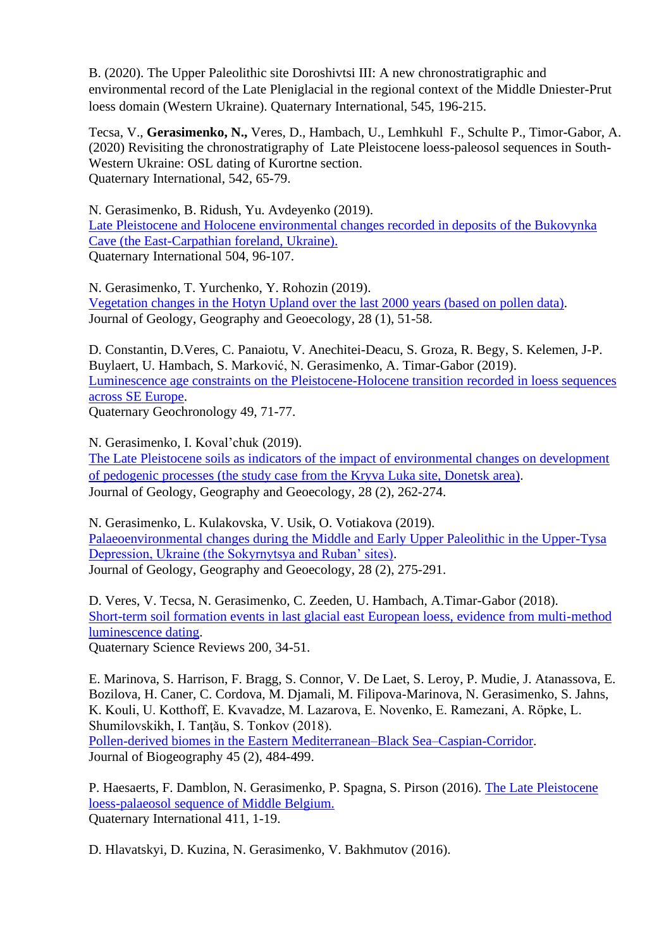B. (2020). The Upper Paleolithic site Doroshivtsi III: A new chronostratigraphic and environmental record of the Late Pleniglacial in the regional context of the Middle Dniester-Prut loess domain (Western Ukraine). Quaternary International, 545, 196-215.

Tecsa, V., **Gerasimenko, N.,** Veres, D., Hambach, U., Lemhkuhl F., Schulte P., Timor-Gabor, A. (2020) Revisiting the chronostratigraphy of Late Pleistocene loess-paleosol sequences in South-Western Ukraine: OSL dating of Kurortne section. Quaternary International, 542, 65-79.

N. Gerasimenko, B. Ridush, Yu. Avdeyenko (2019). Late Pleistocene and Holocene environmental changes recorded in deposits of the Bukovynka Cave (the East-Carpathian foreland, Ukraine). Quaternary International 504, 96-107.

N. Gerasimenko, T. Yurchenko, Y. Rohozin (2019). [Vegetation changes in the Hotyn Upland over the last 2000 years \(based on pollen data\).](https://geology-dnu.dp.ua/index.php/GG/article/view/561) Journal of Geology, Geography and Geoecology, 28 (1), 51-58.

D. Constantin, D.Veres, C. Panaiotu, V. Anechitei-Deacu, S. Groza, R. Begy, S. Kelemen, J-P. Buylaert, U. Hambach, S. Marković, N. Gerasimenko, A. Timar-Gabor (2019). [Luminescence age constraints on the Pleistocene-Holocene transition recorded in loess sequences](https://www.sciencedirect.com/science/article/pii/S1871101417302388)  [across SE Europe.](https://www.sciencedirect.com/science/article/pii/S1871101417302388) Quaternary Geochronology 49, 71-77.

N. Gerasimenko, І. Koval'chuk (2019).

[The Late Pleistocene soils as indicators of the impact of environmental changes on development](https://cyberleninka.ru/article/n/the-late-pleistocene-soils-as-indicators-of-the-impact-of-environmental-changes-on-development-of-pedogenic-processes-the-study-case-from-the)  [of pedogenic processes \(the study case from the Kryva Luka site, Donetsk area\).](https://cyberleninka.ru/article/n/the-late-pleistocene-soils-as-indicators-of-the-impact-of-environmental-changes-on-development-of-pedogenic-processes-the-study-case-from-the) Journal of Geology, Geography and Geoecology, 28 (2), 262-274.

N. Gerasimenko, L. Kulakovska, V. Usik, O. Votiakova (2019). [Palaeoenvironmental changes during the Middle and Early Upper Paleolithic in the Upper-Tysa](javascript:void(0))  [Depression, Ukraine \(the Sokyrnytsya and Ruban' sites\).](javascript:void(0)) Journal of Geology, Geography and Geoecology, 28 (2), 275-291.

D. Veres, V. Tecsa, N. Gerasimenko, C. Zeeden, U. Hambach, A.Timar-Gabor (2018). [Short-term soil formation events in last glacial east European loess, evidence from multi-method](https://www.sciencedirect.com/science/article/pii/S0277379118302804)  [luminescence dating.](https://www.sciencedirect.com/science/article/pii/S0277379118302804) Quaternary Science Reviews 200, 34-51.

E. Marinova, S. Harrison, F. Bragg, S. Connor, V. De Laet, S. Leroy, P. Mudie, J. Atanassova, E. Bozilova, H. Caner, C. Cordova, M. Djamali, M. Filipova‐Marinova, N. Gerasimenko, S. Jahns, K. Kouli, U. Kotthoff, E. Kvavadze, M. Lazarova, E. Novenko, E. Ramezani, A. Röpke, L. Shumilovskikh, I. Tantău, S. Tonkov (2018). [Pollen‐derived biomes in the Eastern Mediterranean–Black Sea–Caspian‐Corridor.](https://onlinelibrary.wiley.com/doi/abs/10.1111/jbi.13128) Journal of Biogeography 45 (2), 484-499.

P. Haesaerts, F. Damblon, N. Gerasimenko, P. Spagna, S. Pirson (2016). The Late Pleistocene loess-palaeosol sequence of Middle Belgium. Quaternary International 411, 1-19.

D. Hlavatskyi, D. Kuzina, N. Gerasimenko, V. Bakhmutov (2016).